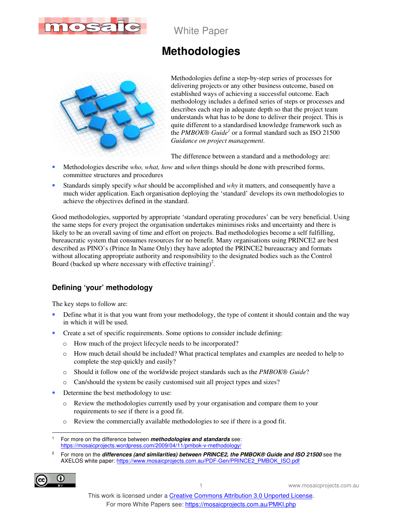

White Paper

# **Methodologies**



Methodologies define a step-by-step series of processes for delivering projects or any other business outcome, based on established ways of achieving a successful outcome. Each methodology includes a defined series of steps or processes and describes each step in adequate depth so that the project team understands what has to be done to deliver their project. This is quite different to a standardised knowledge framework such as the *PMBOK® Guide<sup>1</sup>* or a formal standard such as ISO 21500 *Guidance on project management*.

The difference between a standard and a methodology are:

- Methodologies describe *who, what, how* and *when* things should be done with prescribed forms, committee structures and procedures
- Standards simply specify *what* should be accomplished and *why* it matters, and consequently have a much wider application. Each organisation deploying the 'standard' develops its own methodologies to achieve the objectives defined in the standard.

Good methodologies, supported by appropriate 'standard operating procedures' can be very beneficial. Using the same steps for every project the organisation undertakes minimises risks and uncertainty and there is likely to be an overall saving of time and effort on projects. Bad methodologies become a self fulfilling, bureaucratic system that consumes resources for no benefit. Many organisations using PRINCE2 are best described as PINO's (Prince In Name Only) they have adopted the PRINCE2 bureaucracy and formats without allocating appropriate authority and responsibility to the designated bodies such as the Control Board (backed up where necessary with effective training)<sup>2</sup>.

## **Defining 'your' methodology**

The key steps to follow are:

- Define what it is that you want from your methodology, the type of content it should contain and the way in which it will be used.
- Create a set of specific requirements. Some options to consider include defining:
	- o How much of the project lifecycle needs to be incorporated?
	- o How much detail should be included? What practical templates and examples are needed to help to complete the step quickly and easily?
	- o Should it follow one of the worldwide project standards such as the *PMBOK® Guide*?
	- o Can/should the system be easily customised suit all project types and sizes?
- Determine the best methodology to use:
	- o Review the methodologies currently used by your organisation and compare them to your requirements to see if there is a good fit.
	- o Review the commercially available methodologies to see if there is a good fit.

<sup>2</sup> For more on the **differences (and similarities) between PRINCE2, the PMBOK® Guide and ISO 21500** see the AXELOS white paper: https://www.mosaicprojects.com.au/PDF-Gen/PRINCE2\_PMBOK\_ISO.pdf



 $\overline{a}$ 1 For more on the difference between **methodologies and standards** see: https://mosaicprojects.wordpress.com/2009/04/11/pmbok-v-methodology/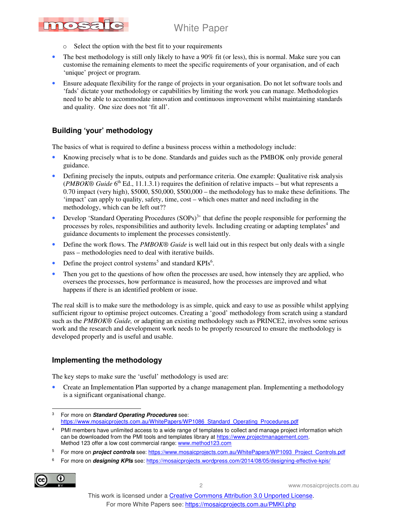# White Paper



- o Select the option with the best fit to your requirements
- The best methodology is still only likely to have a 90% fit (or less), this is normal. Make sure you can customise the remaining elements to meet the specific requirements of your organisation, and of each 'unique' project or program.
- Ensure adequate flexibility for the range of projects in your organisation. Do not let software tools and 'fads' dictate your methodology or capabilities by limiting the work you can manage. Methodologies need to be able to accommodate innovation and continuous improvement whilst maintaining standards and quality. One size does not 'fit all'.

# **Building 'your' methodology**

The basics of what is required to define a business process within a methodology include:

- Knowing precisely what is to be done. Standards and guides such as the PMBOK only provide general guidance.
- Defining precisely the inputs, outputs and performance criteria. One example: Qualitative risk analysis (*PMBOK*<sup>®</sup> *Guide* 6<sup>th</sup> Ed., 11.1.3.1) requires the definition of relative impacts – but what represents a 0.70 impact (very high), \$5000, \$50,000, \$500,000 – the methodology has to make these definitions. The 'impact' can apply to quality, safety, time, cost – which ones matter and need including in the methodology, which can be left out??
- Develop 'Standard Operating Procedures (SOPs)<sup>3</sup>' that define the people responsible for performing the processes by roles, responsibilities and authority levels. Including creating or adapting templates<sup>4</sup> and guidance documents to implement the processes consistently.
- Define the work flows. The *PMBOK<sup>®</sup> Guide* is well laid out in this respect but only deals with a single pass – methodologies need to deal with iterative builds.
- Define the project control systems<sup>5</sup> and standard KPIs<sup>6</sup>.
- Then you get to the questions of how often the processes are used, how intensely they are applied, who oversees the processes, how performance is measured, how the processes are improved and what happens if there is an identified problem or issue.

The real skill is to make sure the methodology is as simple, quick and easy to use as possible whilst applying sufficient rigour to optimise project outcomes. Creating a 'good' methodology from scratch using a standard such as the *PMBOK® Guide,* or adapting an existing methodology such as PRINCE2, involves some serious work and the research and development work needs to be properly resourced to ensure the methodology is developed properly and is useful and usable.

## **Implementing the methodology**

The key steps to make sure the 'useful' methodology is used are:

• Create an Implementation Plan supported by a change management plan. Implementing a methodology is a significant organisational change.

<sup>6</sup> For more on *designing KPIs* see: https://mosaicprojects.wordpress.com/2014/08/05/designing-effective-kpis/



2 www.mosaicprojects.com.au

 $\overline{a}$ 3 For more on **Standard Operating Procedures** see: https://www.mosaicprojects.com.au/WhitePapers/WP1086\_Standard\_Operating\_Procedures.pdf

<sup>4</sup> PMI members have unlimited access to a wide range of templates to collect and manage project information which can be downloaded from the PMI tools and templates library at https://www.projectmanagement.com. Method 123 offer a low cost commercial range: www.method123.com

<sup>5</sup> For more on **project controls** see: https://www.mosaicprojects.com.au/WhitePapers/WP1093\_Project\_Controls.pdf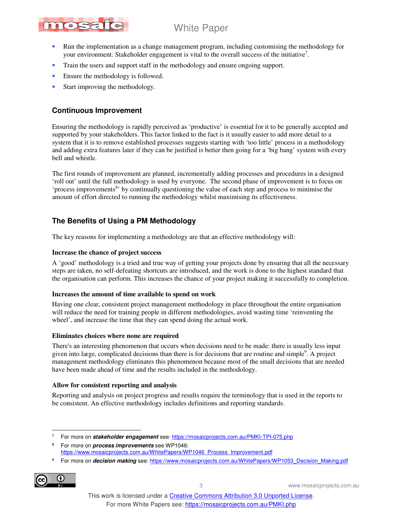# nosa

# White Paper

- Run the implementation as a change management program, including customising the methodology for your environment. Stakeholder engagement is vital to the overall success of the initiative<sup>7</sup>.
- Train the users and support staff in the methodology and ensure ongoing support.
- Ensure the methodology is followed.
- Start improving the methodology.

### **Continuous Improvement**

Ensuring the methodology is rapidly perceived as 'productive' is essential for it to be generally accepted and supported by your stakeholders. This factor linked to the fact is it usually easier to add more detail to a system that it is to remove established processes suggests starting with 'too little' process in a methodology and adding extra features later if they can be justified is better then going for a 'big bang' system with every bell and whistle.

The first rounds of improvement are planned, incrementally adding processes and procedures in a designed 'roll out' until the full methodology is used by everyone. The second phase of improvement is to focus on 'process improvements<sup>8</sup>' by continually questioning the value of each step and process to minimise the amount of effort directed to running the methodology whilst maximising its effectiveness.

### **The Benefits of Using a PM Methodology**

The key reasons for implementing a methodology are that an effective methodology will:

#### **Increase the chance of project success**

A 'good' methodology is a tried and true way of getting your projects done by ensuring that all the necessary steps are taken, no self-defeating shortcuts are introduced, and the work is done to the highest standard that the organisation can perform. This increases the chance of your project making it successfully to completion.

#### **Increases the amount of time available to spend on work**

Having one clear, consistent project management methodology in place throughout the entire organisation will reduce the need for training people in different methodologies, avoid wasting time 'reinventing the wheel', and increase the time that they can spend doing the actual work.

#### **Eliminates choices where none are required**

There's an interesting phenomenon that occurs when decisions need to be made: there is usually less input given into large, complicated decisions than there is for decisions that are routine and simple<sup>9</sup>. A project management methodology eliminates this phenomenon because most of the small decisions that are needed have been made ahead of time and the results included in the methodology.

#### **Allow for consistent reporting and analysis**

Reporting and analysis on project progress and results require the terminology that is used in the reports to be consistent. An effective methodology includes definitions and reporting standards.

<sup>&</sup>lt;sup>9</sup> For more on *decision making* see: https://www.mosaicprojects.com.au/WhitePapers/WP1053\_Decision\_Making.pdf



3 www.mosaicprojects.com.au

 $\overline{a}$ 7 For more on **stakeholder engagement** see: https://mosaicprojects.com.au/PMKI-TPI-075.php

<sup>8</sup> For more on **process improvements** see WP1046: https://www.mosaicprojects.com.au/WhitePapers/WP1046\_Process\_Improvement.pdf